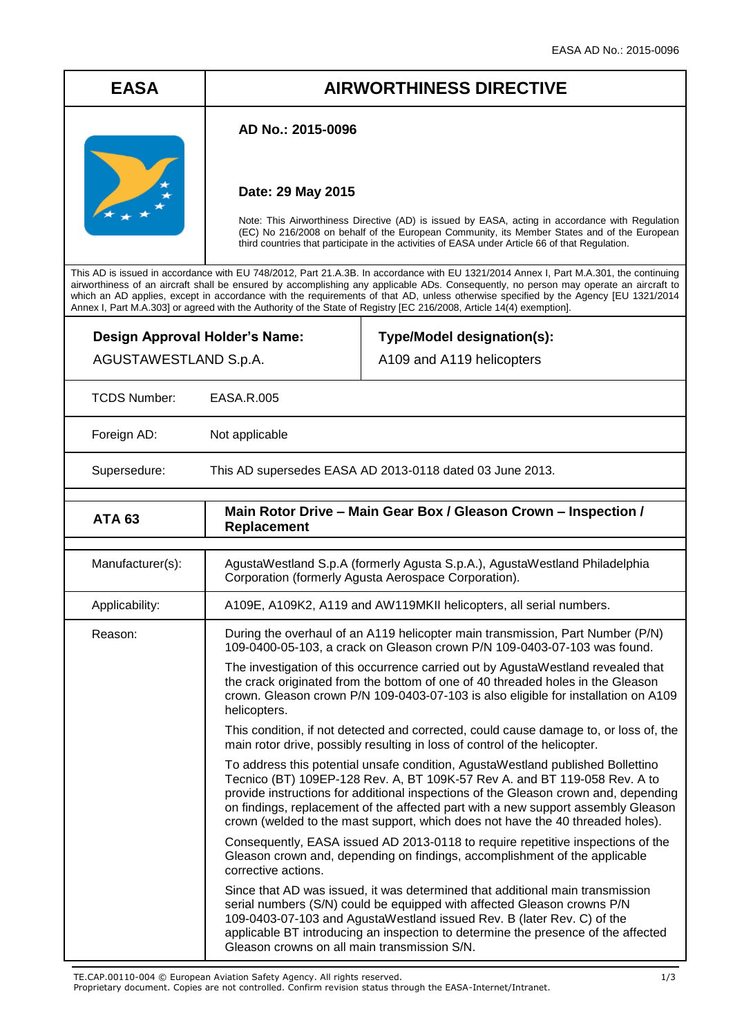# **EASA AIRWORTHINESS DIRECTIVE**

## **AD No.: 2015-0096**

## **Date: 29 May 2015**

Note: This Airworthiness Directive (AD) is issued by EASA, acting in accordance with Regulation (EC) No 216/2008 on behalf of the European Community, its Member States and of the European third countries that participate in the activities of EASA under Article 66 of that Regulation.

This AD is issued in accordance with EU 748/2012, Part 21.A.3B. In accordance with EU 1321/2014 Annex I, Part M.A.301, the continuing airworthiness of an aircraft shall be ensured by accomplishing any applicable ADs. Consequently, no person may operate an aircraft to which an AD applies, except in accordance with the requirements of that AD, unless otherwise specified by the Agency [EU 1321/2014 Annex I, Part M.A.303] or agreed with the Authority of the State of Registry [EC 216/2008, Article 14(4) exemption].

| Design Approval Holder's Name:<br>AGUSTAWESTLAND S.p.A. |                                                                                                                                                                                                                                                                           | Type/Model designation(s):<br>A109 and A119 helicopters                                                                                                                                                                                                                                                                                                                                                                    |  |
|---------------------------------------------------------|---------------------------------------------------------------------------------------------------------------------------------------------------------------------------------------------------------------------------------------------------------------------------|----------------------------------------------------------------------------------------------------------------------------------------------------------------------------------------------------------------------------------------------------------------------------------------------------------------------------------------------------------------------------------------------------------------------------|--|
| <b>TCDS Number:</b>                                     | EASA.R.005                                                                                                                                                                                                                                                                |                                                                                                                                                                                                                                                                                                                                                                                                                            |  |
| Foreign AD:                                             | Not applicable                                                                                                                                                                                                                                                            |                                                                                                                                                                                                                                                                                                                                                                                                                            |  |
| Supersedure:                                            |                                                                                                                                                                                                                                                                           | This AD supersedes EASA AD 2013-0118 dated 03 June 2013.                                                                                                                                                                                                                                                                                                                                                                   |  |
| <b>ATA 63</b>                                           | Main Rotor Drive - Main Gear Box / Gleason Crown - Inspection /<br><b>Replacement</b>                                                                                                                                                                                     |                                                                                                                                                                                                                                                                                                                                                                                                                            |  |
| Manufacturer(s):                                        |                                                                                                                                                                                                                                                                           | AgustaWestland S.p.A (formerly Agusta S.p.A.), AgustaWestland Philadelphia<br>Corporation (formerly Agusta Aerospace Corporation).                                                                                                                                                                                                                                                                                         |  |
| Applicability:                                          | A109E, A109K2, A119 and AW119MKII helicopters, all serial numbers.                                                                                                                                                                                                        |                                                                                                                                                                                                                                                                                                                                                                                                                            |  |
| Reason:                                                 |                                                                                                                                                                                                                                                                           | During the overhaul of an A119 helicopter main transmission, Part Number (P/N)<br>109-0400-05-103, a crack on Gleason crown P/N 109-0403-07-103 was found.                                                                                                                                                                                                                                                                 |  |
|                                                         | The investigation of this occurrence carried out by AgustaWestland revealed that<br>the crack originated from the bottom of one of 40 threaded holes in the Gleason<br>crown. Gleason crown P/N 109-0403-07-103 is also eligible for installation on A109<br>helicopters. |                                                                                                                                                                                                                                                                                                                                                                                                                            |  |
|                                                         |                                                                                                                                                                                                                                                                           | This condition, if not detected and corrected, could cause damage to, or loss of, the<br>main rotor drive, possibly resulting in loss of control of the helicopter.                                                                                                                                                                                                                                                        |  |
|                                                         |                                                                                                                                                                                                                                                                           | To address this potential unsafe condition, AgustaWestland published Bollettino<br>Tecnico (BT) 109EP-128 Rev. A, BT 109K-57 Rev A. and BT 119-058 Rev. A to<br>provide instructions for additional inspections of the Gleason crown and, depending<br>on findings, replacement of the affected part with a new support assembly Gleason<br>crown (welded to the mast support, which does not have the 40 threaded holes). |  |
|                                                         | corrective actions.                                                                                                                                                                                                                                                       | Consequently, EASA issued AD 2013-0118 to require repetitive inspections of the<br>Gleason crown and, depending on findings, accomplishment of the applicable                                                                                                                                                                                                                                                              |  |
|                                                         | Gleason crowns on all main transmission S/N.                                                                                                                                                                                                                              | Since that AD was issued, it was determined that additional main transmission<br>serial numbers (S/N) could be equipped with affected Gleason crowns P/N<br>109-0403-07-103 and AgustaWestland issued Rev. B (later Rev. C) of the<br>applicable BT introducing an inspection to determine the presence of the affected                                                                                                    |  |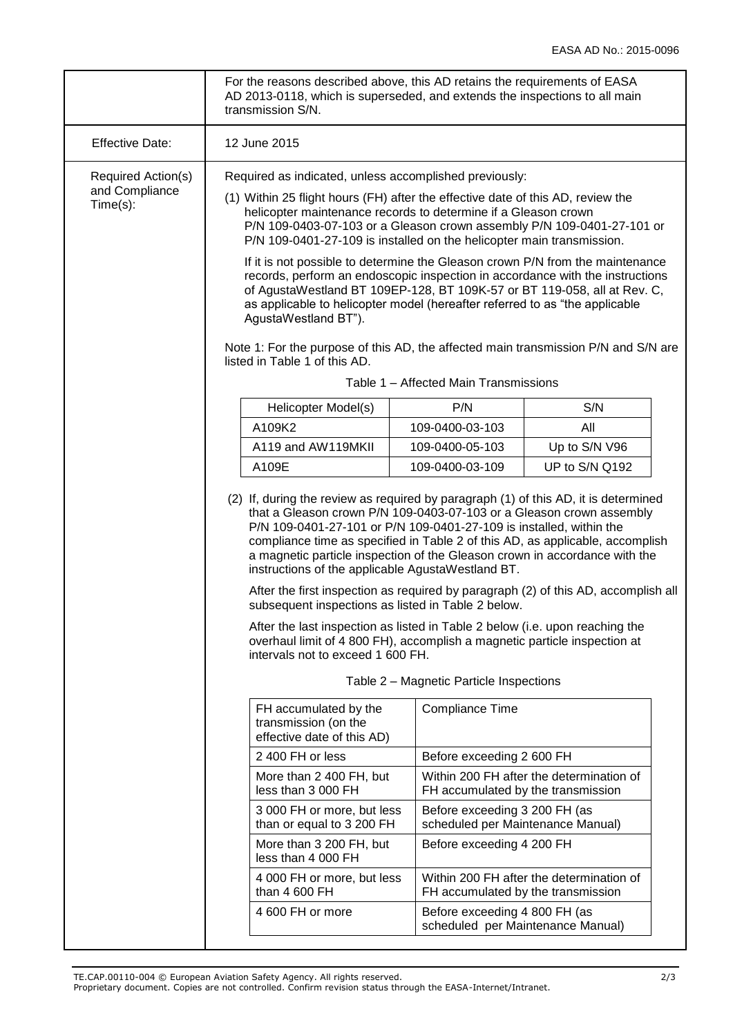|                                                  | For the reasons described above, this AD retains the requirements of EASA<br>AD 2013-0118, which is superseded, and extends the inspections to all main<br>transmission S/N.                                                                                                                                                                                                                                                                           |                                                                    |                                          |  |  |
|--------------------------------------------------|--------------------------------------------------------------------------------------------------------------------------------------------------------------------------------------------------------------------------------------------------------------------------------------------------------------------------------------------------------------------------------------------------------------------------------------------------------|--------------------------------------------------------------------|------------------------------------------|--|--|
| <b>Effective Date:</b>                           | 12 June 2015                                                                                                                                                                                                                                                                                                                                                                                                                                           |                                                                    |                                          |  |  |
| Required Action(s)<br>and Compliance<br>Time(s): | Required as indicated, unless accomplished previously:                                                                                                                                                                                                                                                                                                                                                                                                 |                                                                    |                                          |  |  |
|                                                  | (1) Within 25 flight hours (FH) after the effective date of this AD, review the<br>helicopter maintenance records to determine if a Gleason crown<br>P/N 109-0403-07-103 or a Gleason crown assembly P/N 109-0401-27-101 or<br>P/N 109-0401-27-109 is installed on the helicopter main transmission.                                                                                                                                                   |                                                                    |                                          |  |  |
|                                                  | If it is not possible to determine the Gleason crown P/N from the maintenance<br>records, perform an endoscopic inspection in accordance with the instructions<br>of AgustaWestland BT 109EP-128, BT 109K-57 or BT 119-058, all at Rev. C,<br>as applicable to helicopter model (hereafter referred to as "the applicable<br>AgustaWestland BT").                                                                                                      |                                                                    |                                          |  |  |
|                                                  | Note 1: For the purpose of this AD, the affected main transmission P/N and S/N are<br>listed in Table 1 of this AD.                                                                                                                                                                                                                                                                                                                                    |                                                                    |                                          |  |  |
|                                                  | Table 1 – Affected Main Transmissions                                                                                                                                                                                                                                                                                                                                                                                                                  |                                                                    |                                          |  |  |
|                                                  | Helicopter Model(s)                                                                                                                                                                                                                                                                                                                                                                                                                                    | P/N                                                                | S/N                                      |  |  |
|                                                  | A109K2                                                                                                                                                                                                                                                                                                                                                                                                                                                 | 109-0400-03-103                                                    | All                                      |  |  |
|                                                  | A119 and AW119MKII<br>A109E                                                                                                                                                                                                                                                                                                                                                                                                                            | 109-0400-05-103<br>109-0400-03-109                                 | Up to S/N V96<br>UP to S/N Q192          |  |  |
|                                                  |                                                                                                                                                                                                                                                                                                                                                                                                                                                        |                                                                    |                                          |  |  |
|                                                  | (2) If, during the review as required by paragraph (1) of this AD, it is determined<br>that a Gleason crown P/N 109-0403-07-103 or a Gleason crown assembly<br>P/N 109-0401-27-101 or P/N 109-0401-27-109 is installed, within the<br>compliance time as specified in Table 2 of this AD, as applicable, accomplish<br>a magnetic particle inspection of the Gleason crown in accordance with the<br>instructions of the applicable AgustaWestland BT. |                                                                    |                                          |  |  |
|                                                  | After the first inspection as required by paragraph (2) of this AD, accomplish all<br>subsequent inspections as listed in Table 2 below.                                                                                                                                                                                                                                                                                                               |                                                                    |                                          |  |  |
|                                                  | After the last inspection as listed in Table 2 below (i.e. upon reaching the<br>overhaul limit of 4 800 FH), accomplish a magnetic particle inspection at<br>intervals not to exceed 1 600 FH.                                                                                                                                                                                                                                                         |                                                                    |                                          |  |  |
|                                                  | Table 2 – Magnetic Particle Inspections                                                                                                                                                                                                                                                                                                                                                                                                                |                                                                    |                                          |  |  |
|                                                  | FH accumulated by the<br>transmission (on the<br>effective date of this AD)                                                                                                                                                                                                                                                                                                                                                                            | <b>Compliance Time</b>                                             |                                          |  |  |
|                                                  | 2 400 FH or less<br>Before exceeding 2 600 FH                                                                                                                                                                                                                                                                                                                                                                                                          |                                                                    |                                          |  |  |
|                                                  | More than 2 400 FH, but<br>less than 3 000 FH                                                                                                                                                                                                                                                                                                                                                                                                          | FH accumulated by the transmission                                 | Within 200 FH after the determination of |  |  |
|                                                  | 3 000 FH or more, but less<br>than or equal to 3 200 FH                                                                                                                                                                                                                                                                                                                                                                                                | Before exceeding 3 200 FH (as<br>scheduled per Maintenance Manual) |                                          |  |  |
|                                                  | More than 3 200 FH, but<br>less than 4 000 FH                                                                                                                                                                                                                                                                                                                                                                                                          | Before exceeding 4 200 FH                                          |                                          |  |  |
|                                                  | 4 000 FH or more, but less<br>than 4 600 FH                                                                                                                                                                                                                                                                                                                                                                                                            | FH accumulated by the transmission                                 | Within 200 FH after the determination of |  |  |
|                                                  | 4 600 FH or more                                                                                                                                                                                                                                                                                                                                                                                                                                       | Before exceeding 4 800 FH (as                                      | scheduled per Maintenance Manual)        |  |  |
|                                                  |                                                                                                                                                                                                                                                                                                                                                                                                                                                        |                                                                    |                                          |  |  |

TE.CAP.00110-004 © European Aviation Safety Agency. All rights reserved. 2/3

Proprietary document. Copies are not controlled. Confirm revision status through the EASA-Internet/Intranet.